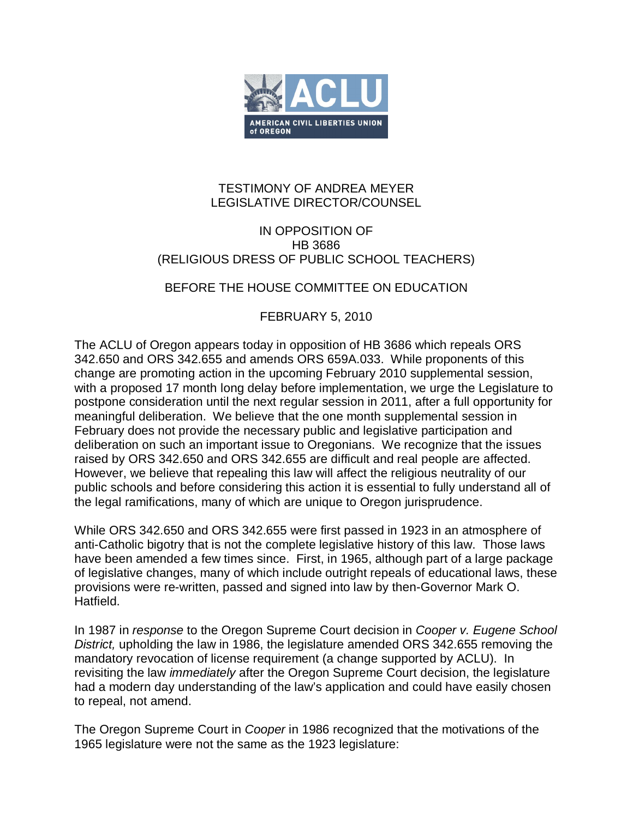

## TESTIMONY OF ANDREA MEYER LEGISLATIVE DIRECTOR/COUNSEL

## IN OPPOSITION OF HB 3686 (RELIGIOUS DRESS OF PUBLIC SCHOOL TEACHERS)

## BEFORE THE HOUSE COMMITTEE ON EDUCATION

## FEBRUARY 5, 2010

The ACLU of Oregon appears today in opposition of HB 3686 which repeals ORS 342.650 and ORS 342.655 and amends ORS 659A.033. While proponents of this change are promoting action in the upcoming February 2010 supplemental session, with a proposed 17 month long delay before implementation, we urge the Legislature to postpone consideration until the next regular session in 2011, after a full opportunity for meaningful deliberation. We believe that the one month supplemental session in February does not provide the necessary public and legislative participation and deliberation on such an important issue to Oregonians. We recognize that the issues raised by ORS 342.650 and ORS 342.655 are difficult and real people are affected. However, we believe that repealing this law will affect the religious neutrality of our public schools and before considering this action it is essential to fully understand all of the legal ramifications, many of which are unique to Oregon jurisprudence.

While ORS 342.650 and ORS 342.655 were first passed in 1923 in an atmosphere of anti-Catholic bigotry that is not the complete legislative history of this law. Those laws have been amended a few times since. First, in 1965, although part of a large package of legislative changes, many of which include outright repeals of educational laws, these provisions were re-written, passed and signed into law by then-Governor Mark O. Hatfield.

In 1987 in *response* to the Oregon Supreme Court decision in *Cooper v. Eugene School District,* upholding the law in 1986, the legislature amended ORS 342.655 removing the mandatory revocation of license requirement (a change supported by ACLU). In revisiting the law *immediately* after the Oregon Supreme Court decision, the legislature had a modern day understanding of the law's application and could have easily chosen to repeal, not amend.

The Oregon Supreme Court in *Cooper* in 1986 recognized that the motivations of the 1965 legislature were not the same as the 1923 legislature: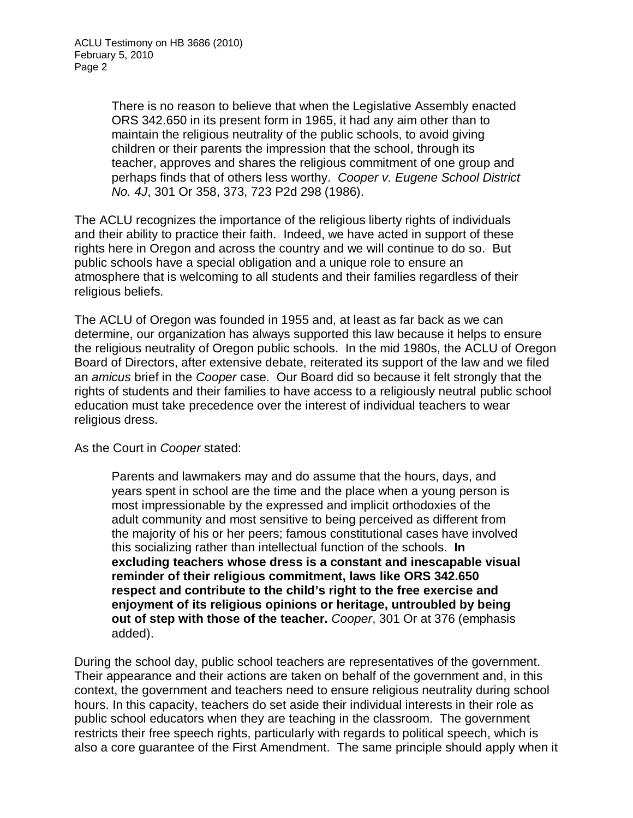There is no reason to believe that when the Legislative Assembly enacted ORS 342.650 in its present form in 1965, it had any aim other than to maintain the religious neutrality of the public schools, to avoid giving children or their parents the impression that the school, through its teacher, approves and shares the religious commitment of one group and perhaps finds that of others less worthy. *Cooper v. Eugene School District No. 4J*, 301 Or 358, 373, 723 P2d 298 (1986).

The ACLU recognizes the importance of the religious liberty rights of individuals and their ability to practice their faith. Indeed, we have acted in support of these rights here in Oregon and across the country and we will continue to do so. But public schools have a special obligation and a unique role to ensure an atmosphere that is welcoming to all students and their families regardless of their religious beliefs.

The ACLU of Oregon was founded in 1955 and, at least as far back as we can determine, our organization has always supported this law because it helps to ensure the religious neutrality of Oregon public schools. In the mid 1980s, the ACLU of Oregon Board of Directors, after extensive debate, reiterated its support of the law and we filed an *amicus* brief in the *Cooper* case. Our Board did so because it felt strongly that the rights of students and their families to have access to a religiously neutral public school education must take precedence over the interest of individual teachers to wear religious dress.

As the Court in *Cooper* stated:

Parents and lawmakers may and do assume that the hours, days, and years spent in school are the time and the place when a young person is most impressionable by the expressed and implicit orthodoxies of the adult community and most sensitive to being perceived as different from the majority of his or her peers; famous constitutional cases have involved this socializing rather than intellectual function of the schools. **In excluding teachers whose dress is a constant and inescapable visual reminder of their religious commitment, laws like ORS 342.650 respect and contribute to the child's right to the free exercise and enjoyment of its religious opinions or heritage, untroubled by being out of step with those of the teacher.** *Cooper*, 301 Or at 376 (emphasis added).

During the school day, public school teachers are representatives of the government. Their appearance and their actions are taken on behalf of the government and, in this context, the government and teachers need to ensure religious neutrality during school hours. In this capacity, teachers do set aside their individual interests in their role as public school educators when they are teaching in the classroom. The government restricts their free speech rights, particularly with regards to political speech, which is also a core guarantee of the First Amendment. The same principle should apply when it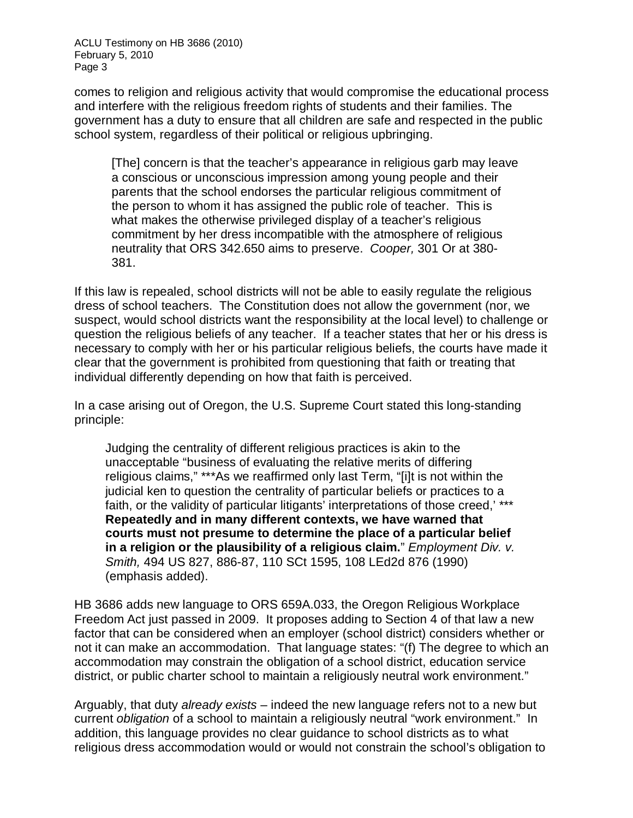ACLU Testimony on HB 3686 (2010) February 5, 2010 Page 3

comes to religion and religious activity that would compromise the educational process and interfere with the religious freedom rights of students and their families. The government has a duty to ensure that all children are safe and respected in the public school system, regardless of their political or religious upbringing.

[The] concern is that the teacher's appearance in religious garb may leave a conscious or unconscious impression among young people and their parents that the school endorses the particular religious commitment of the person to whom it has assigned the public role of teacher. This is what makes the otherwise privileged display of a teacher's religious commitment by her dress incompatible with the atmosphere of religious neutrality that ORS 342.650 aims to preserve. *Cooper,* 301 Or at 380- 381.

If this law is repealed, school districts will not be able to easily regulate the religious dress of school teachers. The Constitution does not allow the government (nor, we suspect, would school districts want the responsibility at the local level) to challenge or question the religious beliefs of any teacher. If a teacher states that her or his dress is necessary to comply with her or his particular religious beliefs, the courts have made it clear that the government is prohibited from questioning that faith or treating that individual differently depending on how that faith is perceived.

In a case arising out of Oregon, the U.S. Supreme Court stated this long-standing principle:

Judging the centrality of different religious practices is akin to the unacceptable "business of evaluating the relative merits of differing religious claims," \*\*\*As we reaffirmed only last Term, "[i]t is not within the judicial ken to question the centrality of particular beliefs or practices to a faith, or the validity of particular litigants' interpretations of those creed,'\*\*\* **Repeatedly and in many different contexts, we have warned that courts must not presume to determine the place of a particular belief in a religion or the plausibility of a religious claim.**" *Employment Div. v. Smith,* 494 US 827, 886-87, 110 SCt 1595, 108 LEd2d 876 (1990) (emphasis added).

HB 3686 adds new language to ORS 659A.033, the Oregon Religious Workplace Freedom Act just passed in 2009. It proposes adding to Section 4 of that law a new factor that can be considered when an employer (school district) considers whether or not it can make an accommodation. That language states: "(f) The degree to which an accommodation may constrain the obligation of a school district, education service district, or public charter school to maintain a religiously neutral work environment."

Arguably, that duty *already exists* – indeed the new language refers not to a new but current *obligation* of a school to maintain a religiously neutral "work environment." In addition, this language provides no clear guidance to school districts as to what religious dress accommodation would or would not constrain the school's obligation to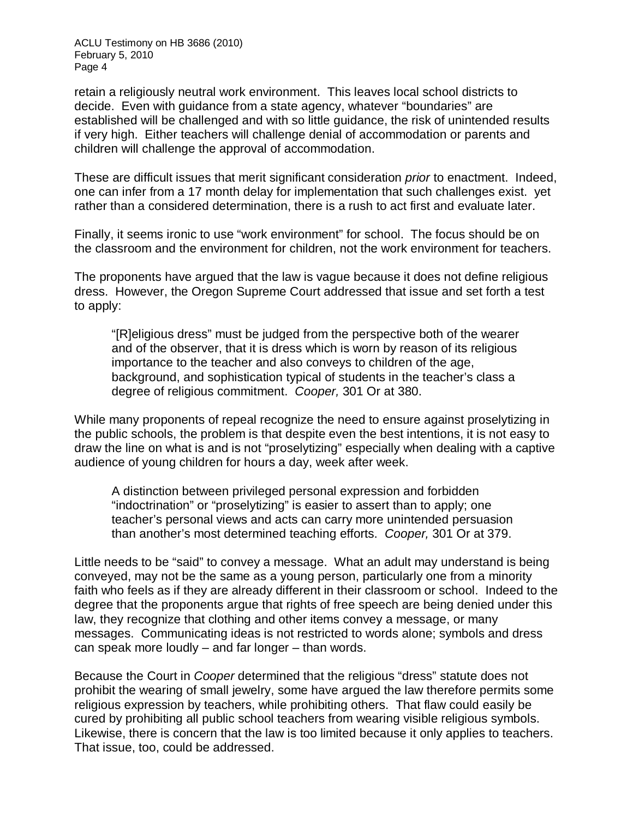ACLU Testimony on HB 3686 (2010) February 5, 2010 Page 4

retain a religiously neutral work environment. This leaves local school districts to decide. Even with guidance from a state agency, whatever "boundaries" are established will be challenged and with so little guidance, the risk of unintended results if very high. Either teachers will challenge denial of accommodation or parents and children will challenge the approval of accommodation.

These are difficult issues that merit significant consideration *prior* to enactment. Indeed, one can infer from a 17 month delay for implementation that such challenges exist. yet rather than a considered determination, there is a rush to act first and evaluate later.

Finally, it seems ironic to use "work environment" for school. The focus should be on the classroom and the environment for children, not the work environment for teachers.

The proponents have argued that the law is vague because it does not define religious dress. However, the Oregon Supreme Court addressed that issue and set forth a test to apply:

"[R]eligious dress" must be judged from the perspective both of the wearer and of the observer, that it is dress which is worn by reason of its religious importance to the teacher and also conveys to children of the age, background, and sophistication typical of students in the teacher's class a degree of religious commitment. *Cooper,* 301 Or at 380.

While many proponents of repeal recognize the need to ensure against proselytizing in the public schools, the problem is that despite even the best intentions, it is not easy to draw the line on what is and is not "proselytizing" especially when dealing with a captive audience of young children for hours a day, week after week.

A distinction between privileged personal expression and forbidden "indoctrination" or "proselytizing" is easier to assert than to apply; one teacher's personal views and acts can carry more unintended persuasion than another's most determined teaching efforts. *Cooper,* 301 Or at 379.

Little needs to be "said" to convey a message. What an adult may understand is being conveyed, may not be the same as a young person, particularly one from a minority faith who feels as if they are already different in their classroom or school. Indeed to the degree that the proponents argue that rights of free speech are being denied under this law, they recognize that clothing and other items convey a message, or many messages. Communicating ideas is not restricted to words alone; symbols and dress can speak more loudly – and far longer – than words.

Because the Court in *Cooper* determined that the religious "dress" statute does not prohibit the wearing of small jewelry, some have argued the law therefore permits some religious expression by teachers, while prohibiting others. That flaw could easily be cured by prohibiting all public school teachers from wearing visible religious symbols. Likewise, there is concern that the law is too limited because it only applies to teachers. That issue, too, could be addressed.